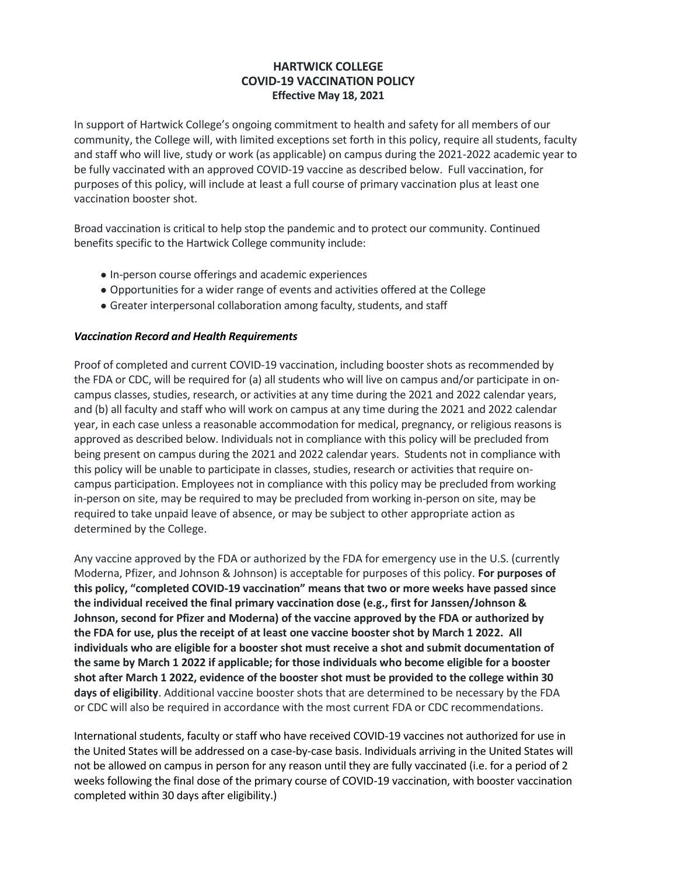# **HARTWICK COLLEGE COVID-19 VACCINATION POLICY Effective May 18, 2021**

In support of Hartwick College's ongoing commitment to health and safety for all members of our community, the College will, with limited exceptions set forth in this policy, require all students, faculty and staff who will live, study or work (as applicable) on campus during the 2021-2022 academic year to be fully vaccinated with an approved COVID-19 vaccine as described below. Full vaccination, for purposes of this policy, will include at least a full course of primary vaccination plus at least one vaccination booster shot.

Broad vaccination is critical to help stop the pandemic and to protect our community. Continued benefits specific to the Hartwick College community include:

- In-person course offerings and academic experiences
- Opportunities for a wider range of events and activities offered at the College
- Greater interpersonal collaboration among faculty, students, and staff

## *Vaccination Record and Health Requirements*

Proof of completed and current COVID-19 vaccination, including booster shots as recommended by the FDA or CDC, will be required for (a) all students who will live on campus and/or participate in oncampus classes, studies, research, or activities at any time during the 2021 and 2022 calendar years, and (b) all faculty and staff who will work on campus at any time during the 2021 and 2022 calendar year, in each case unless a reasonable accommodation for medical, pregnancy, or religious reasons is approved as described below. Individuals not in compliance with this policy will be precluded from being present on campus during the 2021 and 2022 calendar years. Students not in compliance with this policy will be unable to participate in classes, studies, research or activities that require oncampus participation. Employees not in compliance with this policy may be precluded from working in-person on site, may be required to may be precluded from working in-person on site, may be required to take unpaid leave of absence, or may be subject to other appropriate action as determined by the College.

Any vaccine approved by the FDA or authorized by the FDA for emergency use in the U.S. (currently Moderna, Pfizer, and Johnson & Johnson) is acceptable for purposes of this policy. **For purposes of this policy, "completed COVID-19 vaccination" means that two or more weeks have passed since the individual received the final primary vaccination dose (e.g., first for Janssen/Johnson & Johnson, second for Pfizer and Moderna) of the vaccine approved by the FDA or authorized by the FDA for use, plus the receipt of at least one vaccine booster shot by March 1 2022. All individuals who are eligible for a booster shot must receive a shot and submit documentation of the same by March 1 2022 if applicable; for those individuals who become eligible for a booster shot after March 1 2022, evidence of the booster shot must be provided to the college within 30 days of eligibility**. Additional vaccine booster shots that are determined to be necessary by the FDA or CDC will also be required in accordance with the most current FDA or CDC recommendations.

International students, faculty or staff who have received COVID-19 vaccines not authorized for use in the United States will be addressed on a case-by-case basis. Individuals arriving in the United States will not be allowed on campus in person for any reason until they are fully vaccinated (i.e. for a period of 2 weeks following the final dose of the primary course of COVID-19 vaccination, with booster vaccination completed within 30 days after eligibility.)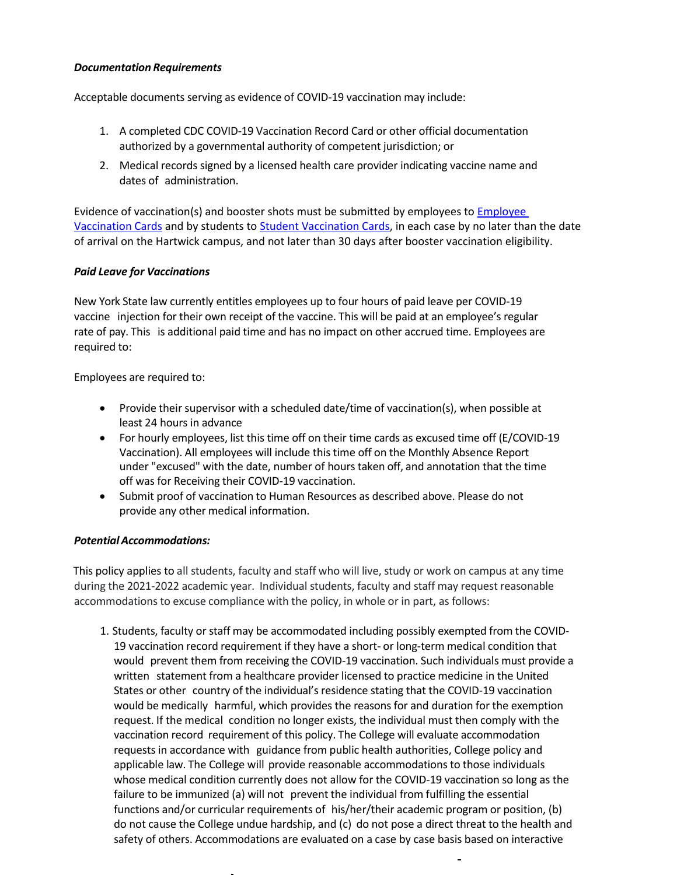## *Documentation Requirements*

Acceptable documents serving as evidence of COVID-19 vaccination may include:

- 1. A completed CDC COVID-19 Vaccination Record Card or other official documentation authorized by a governmental authority of competent jurisdiction; or
- 2. Medical records signed by a licensed health care provider indicating vaccine name and dates of administration.

Evidence of vaccination(s) and booster shots must be submitted by employees to **Employee** [Vaccination Cards](https://forms.gle/xx7wRr5fvB3CTDaW8) and by students to [Student Vaccination Cards,](https://forms.gle/sP2r3tiqqpVgEjNn7) in each case by no later than the date of arrival on the Hartwick campus, and not later than 30 days after booster vaccination eligibility.

## *Paid Leave for Vaccinations*

New York State law currently entitles employees up to four hours of paid leave per COVID-19 vaccine injection for their own receipt of the vaccine. This will be paid at an employee's regular rate of pay. This is additional paid time and has no impact on other accrued time. Employees are required to:

Employees are required to:

- Provide their supervisor with a scheduled date/time of vaccination(s), when possible at least 24 hours in advance
- For hourly employees, list this time off on their time cards as excused time off (E/COVID-19 Vaccination). All employees will include this time off on the Monthly Absence Report under "excused" with the date, number of hours taken off, and annotation that the time off was for Receiving their COVID-19 vaccination.
- Submit proof of vaccination to Human Resources as described above. Please do not provide any other medical information.

## *PotentialAccommodations:*

This policy applies to all students, faculty and staff who will live, study or work on campus at any time during the 2021-2022 academic year. Individual students, faculty and staff may request reasonable accommodations to excuse compliance with the policy, in whole or in part, as follows:

1. Students, faculty or staff may be accommodated including possibly exempted from the COVID-19 vaccination record requirement if they have a short- or long-term medical condition that would prevent them from receiving the COVID-19 vaccination. Such individuals must provide a written statement from a healthcare provider licensed to practice medicine in the United States or other country of the individual's residence stating that the COVID-19 vaccination would be medically harmful, which provides the reasons for and duration for the exemption request. If the medical condition no longer exists, the individual must then comply with the vaccination record requirement of this policy. The College will evaluate accommodation requests in accordance with guidance from public health authorities, College policy and applicable law. The College will provide reasonable accommodations to those individuals whose medical condition currently does not allow for the COVID-19 vaccination so long as the failure to be immunized (a) will not prevent the individual from fulfilling the essential functions and/or curricular requirements of his/her/their academic program or position, (b) do not cause the College undue hardship, and (c) do not pose a direct threat to the health and safety of others. Accommodations are evaluated on a case by case basis based on interactive